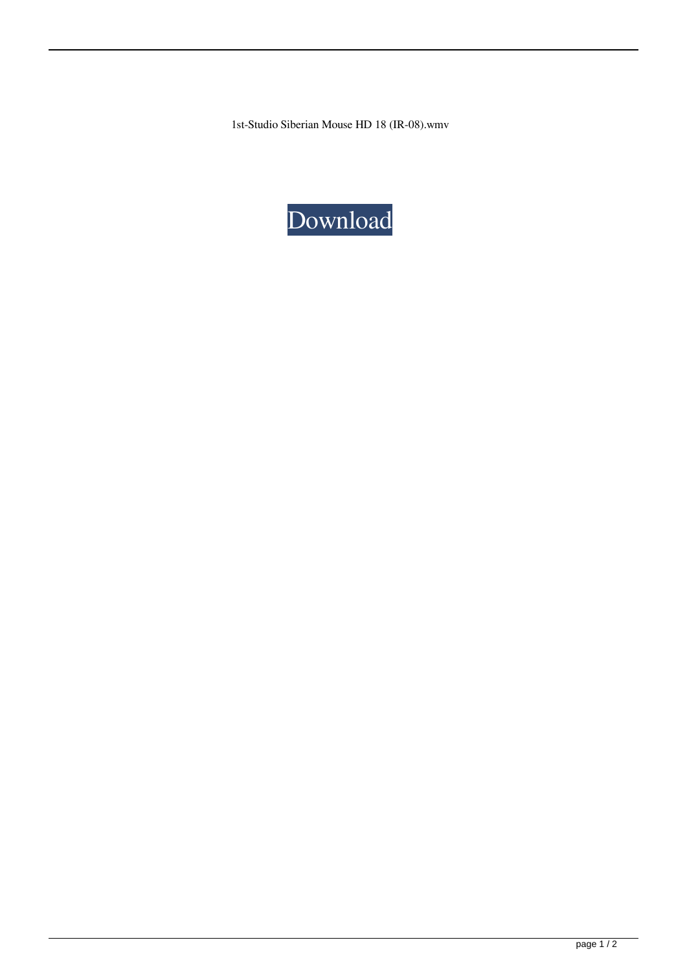1st-Studio Siberian Mouse HD 18 (IR-08).wmv